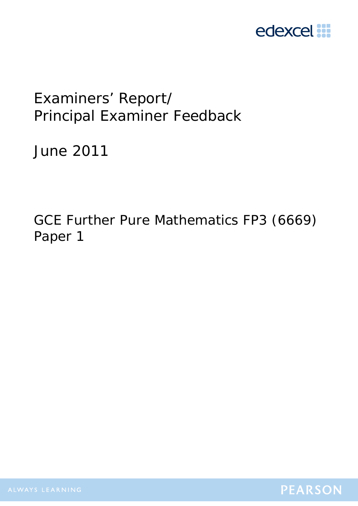

# Examiners' Report/ Principal Examiner Feedback

June 2011

GCE Further Pure Mathematics FP3 (6669) Paper 1

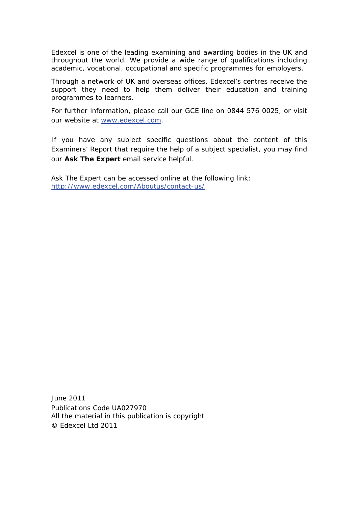Edexcel is one of the leading examining and awarding bodies in the UK and throughout the world. We provide a wide range of qualifications including academic, vocational, occupational and specific programmes for employers.

Through a network of UK and overseas offices, Edexcel's centres receive the support they need to help them deliver their education and training programmes to learners.

For further information, please call our GCE line on 0844 576 0025, or visit our website at www.edexcel.com.

If you have any subject specific questions about the content of this Examiners' Report that require the help of a subject specialist, you may find our **Ask The Expert** email service helpful.

Ask The Expert can be accessed online at the following link: http://www.edexcel.com/Aboutus/contact-us/

June 2011 Publications Code UA027970 All the material in this publication is copyright © Edexcel Ltd 2011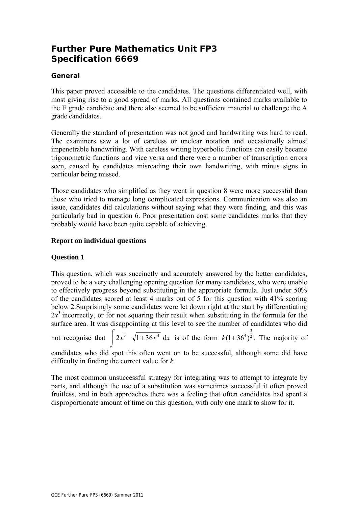# **Further Pure Mathematics Unit FP3 Specification 6669**

# **General**

This paper proved accessible to the candidates. The questions differentiated well, with most giving rise to a good spread of marks. All questions contained marks available to the E grade candidate and there also seemed to be sufficient material to challenge the A grade candidates.

Generally the standard of presentation was not good and handwriting was hard to read. The examiners saw a lot of careless or unclear notation and occasionally almost impenetrable handwriting. With careless writing hyperbolic functions can easily became trigonometric functions and vice versa and there were a number of transcription errors seen, caused by candidates misreading their own handwriting, with minus signs in particular being missed.

Those candidates who simplified as they went in question 8 were more successful than those who tried to manage long complicated expressions. Communication was also an issue, candidates did calculations without saying what they were finding, and this was particularly bad in question 6. Poor presentation cost some candidates marks that they probably would have been quite capable of achieving.

#### **Report on individual questions**

# **Question 1**

This question, which was succinctly and accurately answered by the better candidates, proved to be a very challenging opening question for many candidates, who were unable to effectively progress beyond substituting in the appropriate formula. Just under 50% of the candidates scored at least 4 marks out of 5 for this question with 41% scoring below 2.Surprisingly some candidates were let down right at the start by differentiating  $2x<sup>3</sup>$  incorrectly, or for not squaring their result when substituting in the formula for the surface area. It was disappointing at this level to see the number of candidates who did

not recognise that  $\int 2x^3 \sqrt{1+36x^4} dx$  is of the form  $k(1+36^4)^{\frac{3}{2}}$ . The majority of

candidates who did spot this often went on to be successful, although some did have difficulty in finding the correct value for *k*.

The most common unsuccessful strategy for integrating was to attempt to integrate by parts, and although the use of a substitution was sometimes successful it often proved fruitless, and in both approaches there was a feeling that often candidates had spent a disproportionate amount of time on this question, with only one mark to show for it.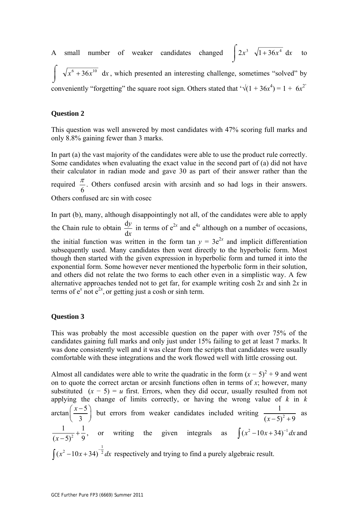A small number of weaker candidates changed  $\int 2x^3 \sqrt{1+36x^4} dx$  to

 $\int \sqrt{x^6 + 36x^{10}} dx$ , which presented an interesting challenge, sometimes "solved" by conveniently "forgetting" the square root sign. Others stated that  $\sqrt{(1 + 36x^4)} = 1 + 6x^2$ 

#### **Question 2**

This question was well answered by most candidates with 47% scoring full marks and only 8.8% gaining fewer than 3 marks.

In part (a) the vast majority of the candidates were able to use the product rule correctly. Some candidates when evaluating the exact value in the second part of (a) did not have their calculator in radian mode and gave 30 as part of their answer rather than the required  $\frac{\pi}{6}$ . Others confused arcsin with arcsinh and so had logs in their answers. Others confused arc sin with cosec

In part (b), many, although disappointingly not all, of the candidates were able to apply the Chain rule to obtain *x y* d  $\frac{dy}{dx}$  in terms of  $e^{2x}$  and  $e^{4x}$  although on a number of occasions, the initial function was written in the form tan  $y = 3e^{2x}$  and implicit differentiation subsequently used. Many candidates then went directly to the hyperbolic form. Most though then started with the given expression in hyperbolic form and turned it into the exponential form. Some however never mentioned the hyperbolic form in their solution, and others did not relate the two forms to each other even in a simplistic way. A few alternative approaches tended not to get far, for example writing cosh 2*x* and sinh 2*x* in terms of  $e^x$  not  $e^{2x}$ , or getting just a cosh or sinh term.

#### **Question 3**

This was probably the most accessible question on the paper with over 75% of the candidates gaining full marks and only just under 15% failing to get at least 7 marks. It was done consistently well and it was clear from the scripts that candidates were usually comfortable with these integrations and the work flowed well with little crossing out.

Almost all candidates were able to write the quadratic in the form  $(x - 5)^2 + 9$  and went on to quote the correct arctan or arcsinh functions often in terms of *x*; however, many substituted  $(x - 5) = u$  first. Errors, when they did occur, usually resulted from not applying the change of limits correctly, or having the wrong value of *k* in *k*   $\arctan\left(\frac{x-5}{2}\right)$  $\left(\frac{x-5}{3}\right)$  but errors from weaker candidates included writing  $\frac{1}{(x-5)^2}$  $(x-5)^2 + 9$  as 2 1 1  $\frac{1}{(x-5)^2} + \frac{1}{9}$ , or writing the given integrals as  $\int (x^2 - 10x + 34)^{-1} dx$  and  $\int (x^2 - 10x + 34)^{-\frac{1}{2}} dx$  respectively and trying to find a purely algebraic result.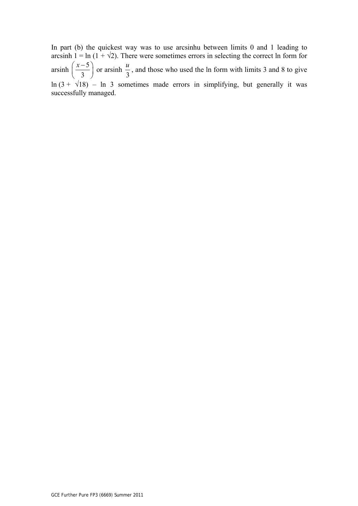In part (b) the quickest way was to use arcsinhu between limits 0 and 1 leading to arcsinh  $1 = \ln(1 + \sqrt{2})$ . There were sometimes errors in selecting the correct ln form for arsinh  $\left(\frac{x-5}{2}\right)$  $\left(\frac{x-5}{3}\right)$  or arsinh  $\frac{u}{3}$  $\frac{u}{s}$ , and those who used the ln form with limits 3 and 8 to give ln  $(3 + \sqrt{18})$  – ln 3 sometimes made errors in simplifying, but generally it was successfully managed.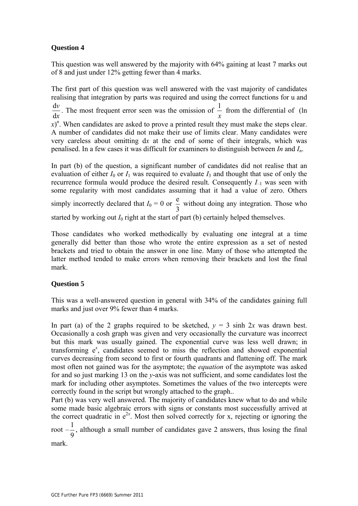This question was well answered by the majority with 64% gaining at least 7 marks out of 8 and just under 12% getting fewer than 4 marks.

The first part of this question was well answered with the vast majority of candidates realising that integration by parts was required and using the correct functions for u and *x v* d  $\frac{dv}{dt}$ . The most frequent error seen was the omission of *x*  $\frac{1}{1}$  from the differential of (ln  $f(x)$ <sup>n</sup>. When candidates are asked to prove a printed result they must make the steps clear. A number of candidates did not make their use of limits clear. Many candidates were very careless about omitting d*x* at the end of some of their integrals, which was penalised. In a few cases it was difficult for examiners to distinguish between *In* and *In*.

In part (b) of the question, a significant number of candidates did not realise that an evaluation of either  $I_0$  or  $I_1$  was required to evaluate  $I_3$  and thought that use of only the recurrence formula would produce the desired result. Consequently *I–*1 was seen with some regularity with most candidates assuming that it had a value of zero. Others simply incorrectly declared that  $I_0 = 0$  or 3  $\frac{e}{f}$  without doing any integration. Those who started by working out  $I_0$  right at the start of part (b) certainly helped themselves.

Those candidates who worked methodically by evaluating one integral at a time generally did better than those who wrote the entire expression as a set of nested brackets and tried to obtain the answer in one line. Many of those who attempted the latter method tended to make errors when removing their brackets and lost the final mark.

# **Question 5**

This was a well-answered question in general with 34% of the candidates gaining full marks and just over 9% fewer than 4 marks.

In part (a) of the 2 graphs required to be sketched,  $y = 3 \sinh 2x$  was drawn best. Occasionally a cosh graph was given and very occasionally the curvature was incorrect but this mark was usually gained. The exponential curve was less well drawn; in transforming  $e^x$ , candidates seemed to miss the reflection and showed exponential curves decreasing from second to first or fourth quadrants and flattening off. The mark most often not gained was for the asymptote; the *equation* of the asymptote was asked for and so just marking 13 on the *y*-axis was not sufficient, and some candidates lost the mark for including other asymptotes. Sometimes the values of the two intercepts were correctly found in the script but wrongly attached to the graph..

Part (b) was very well answered. The majority of candidates knew what to do and while some made basic algebraic errors with signs or constants most successfully arrived at the correct quadratic in  $e^{2x}$ . Most then solved correctly for x, rejecting or ignoring the

root – 9  $\frac{1}{6}$ , although a small number of candidates gave 2 answers, thus losing the final mark.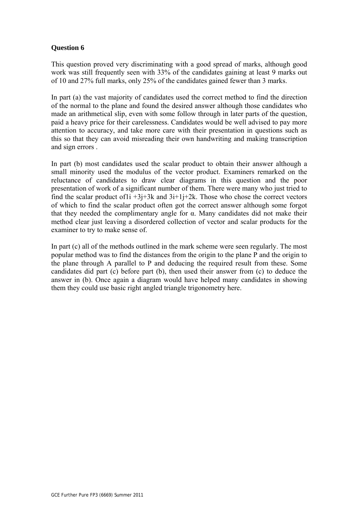This question proved very discriminating with a good spread of marks, although good work was still frequently seen with 33% of the candidates gaining at least 9 marks out of 10 and 27% full marks, only 25% of the candidates gained fewer than 3 marks.

In part (a) the vast majority of candidates used the correct method to find the direction of the normal to the plane and found the desired answer although those candidates who made an arithmetical slip, even with some follow through in later parts of the question, paid a heavy price for their carelessness. Candidates would be well advised to pay more attention to accuracy, and take more care with their presentation in questions such as this so that they can avoid misreading their own handwriting and making transcription and sign errors .

In part (b) most candidates used the scalar product to obtain their answer although a small minority used the modulus of the vector product. Examiners remarked on the reluctance of candidates to draw clear diagrams in this question and the poor presentation of work of a significant number of them. There were many who just tried to find the scalar product of  $1i +3j+3k$  and  $3i+1j+2k$ . Those who chose the correct vectors of which to find the scalar product often got the correct answer although some forgot that they needed the complimentary angle for α. Many candidates did not make their method clear just leaving a disordered collection of vector and scalar products for the examiner to try to make sense of.

In part (c) all of the methods outlined in the mark scheme were seen regularly. The most popular method was to find the distances from the origin to the plane P and the origin to the plane through A parallel to P and deducing the required result from these. Some candidates did part (c) before part (b), then used their answer from (c) to deduce the answer in (b). Once again a diagram would have helped many candidates in showing them they could use basic right angled triangle trigonometry here.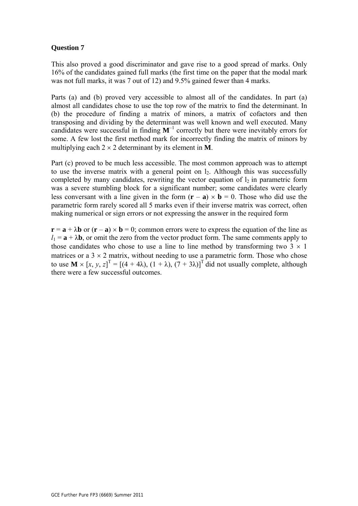This also proved a good discriminator and gave rise to a good spread of marks. Only 16% of the candidates gained full marks (the first time on the paper that the modal mark was not full marks, it was 7 out of 12) and 9.5% gained fewer than 4 marks.

Parts (a) and (b) proved very accessible to almost all of the candidates. In part (a) almost all candidates chose to use the top row of the matrix to find the determinant. In (b) the procedure of finding a matrix of minors, a matrix of cofactors and then transposing and dividing by the determinant was well known and well executed. Many candidates were successful in finding  $M^{-1}$  correctly but there were inevitably errors for some. A few lost the first method mark for incorrectly finding the matrix of minors by multiplying each  $2 \times 2$  determinant by its element in **M**.

Part (c) proved to be much less accessible. The most common approach was to attempt to use the inverse matrix with a general point on  $l_2$ . Although this was successfully completed by many candidates, rewriting the vector equation of  $l_2$  in parametric form was a severe stumbling block for a significant number; some candidates were clearly less conversant with a line given in the form  $(\mathbf{r} - \mathbf{a}) \times \mathbf{b} = 0$ . Those who did use the parametric form rarely scored all 5 marks even if their inverse matrix was correct, often making numerical or sign errors or not expressing the answer in the required form

 $\mathbf{r} = \mathbf{a} + \lambda \mathbf{b}$  or  $(\mathbf{r} - \mathbf{a}) \times \mathbf{b} = 0$ ; common errors were to express the equation of the line as  $l_1 = \mathbf{a} + \lambda \mathbf{b}$ , or omit the zero from the vector product form. The same comments apply to those candidates who chose to use a line to line method by transforming two  $3 \times 1$ matrices or a  $3 \times 2$  matrix, without needing to use a parametric form. Those who chose to use  $\mathbf{M} \times [x, y, z]^T = [(4 + 4\lambda), (1 + \lambda), (7 + 3\lambda)]^T$  did not usually complete, although there were a few successful outcomes.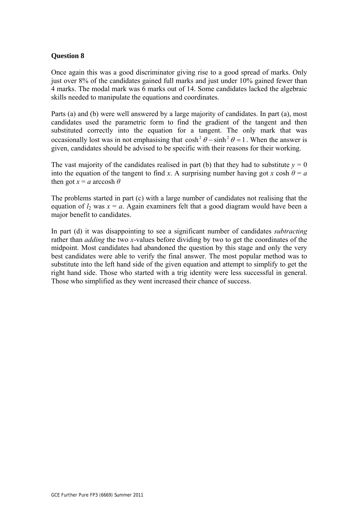Once again this was a good discriminator giving rise to a good spread of marks. Only just over 8% of the candidates gained full marks and just under 10% gained fewer than 4 marks. The modal mark was 6 marks out of 14. Some candidates lacked the algebraic skills needed to manipulate the equations and coordinates.

Parts (a) and (b) were well answered by a large majority of candidates. In part (a), most candidates used the parametric form to find the gradient of the tangent and then substituted correctly into the equation for a tangent. The only mark that was occasionally lost was in not emphasising that  $\cosh^2 \theta - \sinh^2 \theta = 1$ . When the answer is given, candidates should be advised to be specific with their reasons for their working.

The vast majority of the candidates realised in part (b) that they had to substitute  $y = 0$ into the equation of the tangent to find *x*. A surprising number having got *x* cosh  $\theta = a$ then got  $x = a$  arccosh  $\theta$ 

The problems started in part (c) with a large number of candidates not realising that the equation of  $l_2$  was  $x = a$ . Again examiners felt that a good diagram would have been a major benefit to candidates.

In part (d) it was disappointing to see a significant number of candidates *subtracting* rather than *adding* the two *x*-values before dividing by two to get the coordinates of the midpoint. Most candidates had abandoned the question by this stage and only the very best candidates were able to verify the final answer. The most popular method was to substitute into the left hand side of the given equation and attempt to simplify to get the right hand side. Those who started with a trig identity were less successful in general. Those who simplified as they went increased their chance of success.